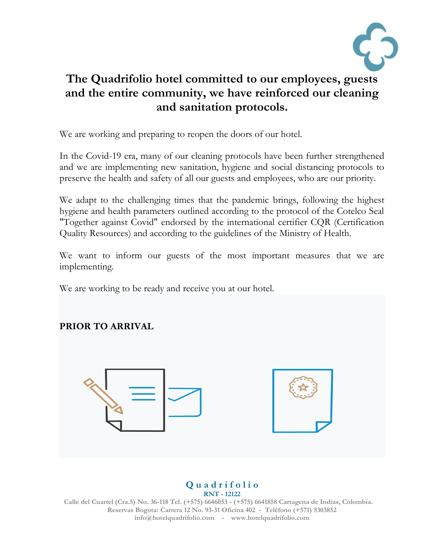

# **The Quadrifolio hotel committed to our employees, guests and the entire community, we have reinforced our cleaning and sanitation protocols.**

We are working and preparing to reopen the doors of our hotel.

In the Covid-19 era, many of our cleaning protocols have been further strengthened and we are implementing new sanitation, hygiene and social distancing protocols to preserve the health and safety of all our guests and employees, who are our priority.

We adapt to the challenging times that the pandemic brings, following the highest hygiene and health parameters outlined according to the protocol of the Cotelco Seal "Together against Covid" endorsed by the international certifier CQR (Certification Quality Resources) and according to the guidelines of the Ministry of Health.

We want to inform our guests of the most important measures that we are implementing.

We are working to be ready and receive you at our hotel.

**PRIOR TO ARRIVAL**





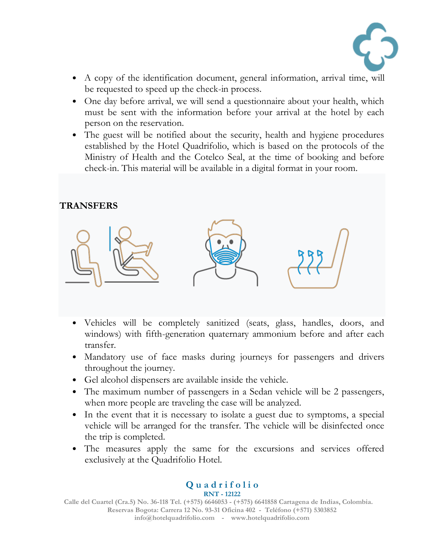

- A copy of the identification document, general information, arrival time, will be requested to speed up the check-in process.
- One day before arrival, we will send a questionnaire about your health, which must be sent with the information before your arrival at the hotel by each person on the reservation.
- The guest will be notified about the security, health and hygiene procedures established by the Hotel Quadrifolio, which is based on the protocols of the Ministry of Health and the Cotelco Seal, at the time of booking and before check-in. This material will be available in a digital format in your room.

#### **TRANSFERS**



- Vehicles will be completely sanitized (seats, glass, handles, doors, and windows) with fifth-generation quaternary ammonium before and after each transfer.
- Mandatory use of face masks during journeys for passengers and drivers throughout the journey.
- Gel alcohol dispensers are available inside the vehicle.
- The maximum number of passengers in a Sedan vehicle will be 2 passengers, when more people are traveling the case will be analyzed.
- In the event that it is necessary to isolate a guest due to symptoms, a special vehicle will be arranged for the transfer. The vehicle will be disinfected once the trip is completed.
- The measures apply the same for the excursions and services offered exclusively at the Quadrifolio Hotel.

**Q u a d r i f o l i o RNT - 12122**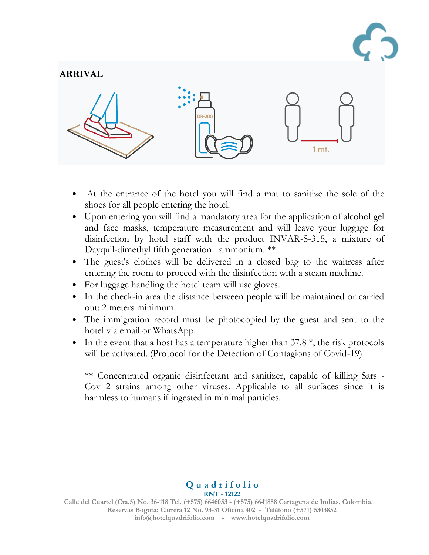

#### **ARRIVAL**



- At the entrance of the hotel you will find a mat to sanitize the sole of the shoes for all people entering the hotel.
- Upon entering you will find a mandatory area for the application of alcohol gel and face masks, temperature measurement and will leave your luggage for disinfection by hotel staff with the product INVAR-S-315, a mixture of Dayquil-dimethyl fifth generation ammonium. \*\*
- The guest's clothes will be delivered in a closed bag to the waitress after entering the room to proceed with the disinfection with a steam machine.
- For luggage handling the hotel team will use gloves.
- In the check-in area the distance between people will be maintained or carried out: 2 meters minimum
- The immigration record must be photocopied by the guest and sent to the hotel via email or WhatsApp.
- In the event that a host has a temperature higher than 37.8<sup>°</sup>, the risk protocols will be activated. (Protocol for the Detection of Contagions of Covid-19)

\*\* Concentrated organic disinfectant and sanitizer, capable of killing Sars - Cov 2 strains among other viruses. Applicable to all surfaces since it is harmless to humans if ingested in minimal particles.

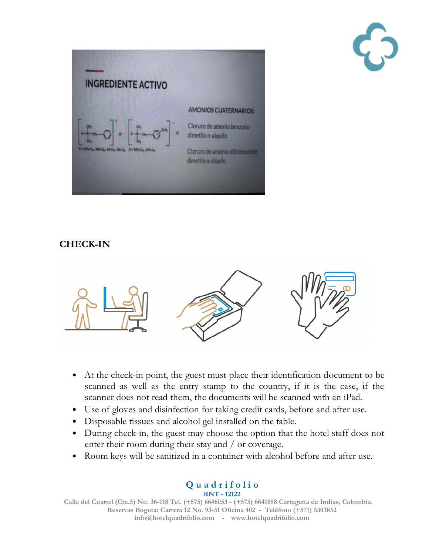



## **CHECK-IN**



- At the check-in point, the guest must place their identification document to be scanned as well as the entry stamp to the country, if it is the case, if the scanner does not read them, the documents will be scanned with an iPad.
- Use of gloves and disinfection for taking credit cards, before and after use.
- Disposable tissues and alcohol gel installed on the table.
- During check-in, the guest may choose the option that the hotel staff does not enter their room during their stay and / or coverage.
- Room keys will be sanitized in a container with alcohol before and after use.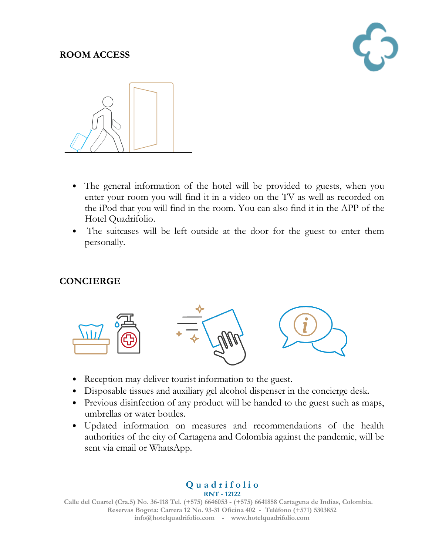#### **ROOM ACCESS**





- The general information of the hotel will be provided to guests, when you enter your room you will find it in a video on the TV as well as recorded on the iPod that you will find in the room. You can also find it in the APP of the Hotel Quadrifolio.
- The suitcases will be left outside at the door for the guest to enter them personally.

## **CONCIERGE**



- Reception may deliver tourist information to the guest.
- Disposable tissues and auxiliary gel alcohol dispenser in the concierge desk.
- Previous disinfection of any product will be handed to the guest such as maps, umbrellas or water bottles.
- Updated information on measures and recommendations of the health authorities of the city of Cartagena and Colombia against the pandemic, will be sent via email or WhatsApp.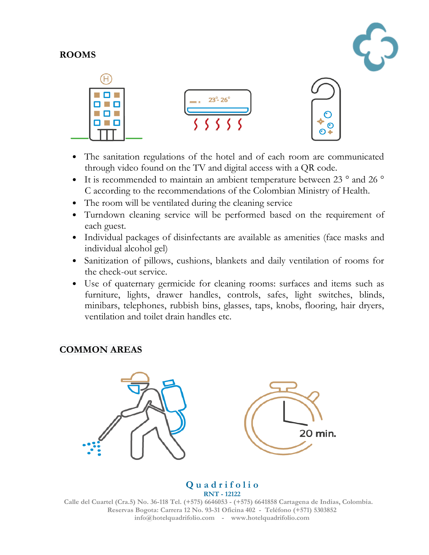#### **ROOMS**





- The sanitation regulations of the hotel and of each room are communicated through video found on the TV and digital access with a QR code.
- It is recommended to maintain an ambient temperature between 23 ° and 26 ° C according to the recommendations of the Colombian Ministry of Health.
- The room will be ventilated during the cleaning service
- Turndown cleaning service will be performed based on the requirement of each guest.
- Individual packages of disinfectants are available as amenities (face masks and individual alcohol gel)
- Sanitization of pillows, cushions, blankets and daily ventilation of rooms for the check-out service.
- Use of quaternary germicide for cleaning rooms: surfaces and items such as furniture, lights, drawer handles, controls, safes, light switches, blinds, minibars, telephones, rubbish bins, glasses, taps, knobs, flooring, hair dryers, ventilation and toilet drain handles etc.

## **COMMON AREAS**



#### **Q u a d r i f o l i o RNT - 12122**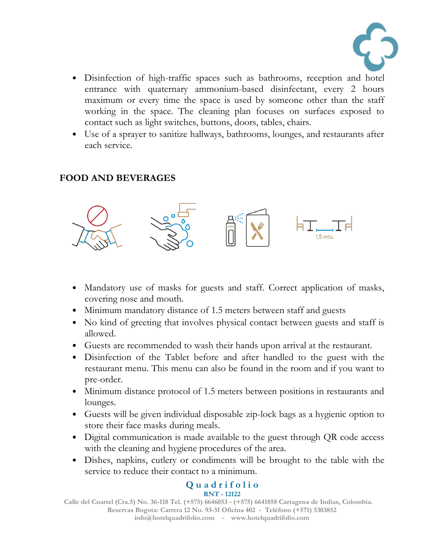

- Disinfection of high-traffic spaces such as bathrooms, reception and hotel entrance with quaternary ammonium-based disinfectant, every 2 hours maximum or every time the space is used by someone other than the staff working in the space. The cleaning plan focuses on surfaces exposed to contact such as light switches, buttons, doors, tables, chairs.
- Use of a sprayer to sanitize hallways, bathrooms, lounges, and restaurants after each service.

## **FOOD AND BEVERAGES**



- Mandatory use of masks for guests and staff. Correct application of masks, covering nose and mouth.
- Minimum mandatory distance of 1.5 meters between staff and guests
- No kind of greeting that involves physical contact between guests and staff is allowed.
- Guests are recommended to wash their hands upon arrival at the restaurant.
- Disinfection of the Tablet before and after handled to the guest with the restaurant menu. This menu can also be found in the room and if you want to pre-order.
- Minimum distance protocol of 1.5 meters between positions in restaurants and lounges.
- Guests will be given individual disposable zip-lock bags as a hygienic option to store their face masks during meals.
- Digital communication is made available to the guest through QR code access with the cleaning and hygiene procedures of the area.
- Dishes, napkins, cutlery or condiments will be brought to the table with the service to reduce their contact to a minimum.

#### **Q u a d r i f o l i o RNT - 12122**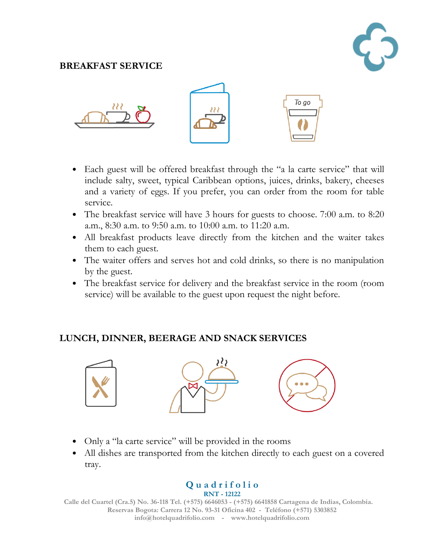## **BREAKFAST SERVICE**



- Each guest will be offered breakfast through the "a la carte service" that will include salty, sweet, typical Caribbean options, juices, drinks, bakery, cheeses and a variety of eggs. If you prefer, you can order from the room for table service.
- The breakfast service will have 3 hours for guests to choose. 7:00 a.m. to 8:20 a.m., 8:30 a.m. to 9:50 a.m. to 10:00 a.m. to 11:20 a.m.
- All breakfast products leave directly from the kitchen and the waiter takes them to each guest.
- The waiter offers and serves hot and cold drinks, so there is no manipulation by the guest.
- The breakfast service for delivery and the breakfast service in the room (room service) will be available to the guest upon request the night before.

## **LUNCH, DINNER, BEERAGE AND SNACK SERVICES**



- Only a "la carte service" will be provided in the rooms
- All dishes are transported from the kitchen directly to each guest on a covered tray.

#### **Q u a d r i f o l i o RNT - 12122**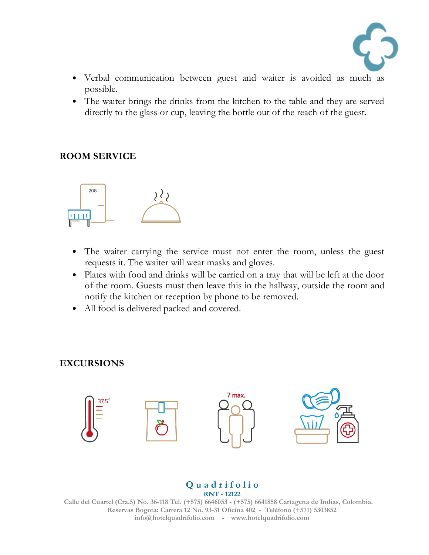

- Verbal communication between guest and waiter is avoided as much as possible.
- The waiter brings the drinks from the kitchen to the table and they are served directly to the glass or cup, leaving the bottle out of the reach of the guest.

#### **ROOM SERVICE**



- The waiter carrying the service must not enter the room, unless the guest requests it. The waiter will wear masks and gloves.
- Plates with food and drinks will be carried on a tray that will be left at the door of the room. Guests must then leave this in the hallway, outside the room and notify the kitchen or reception by phone to be removed.
- All food is delivered packed and covered.

#### **EXCURSIONS**



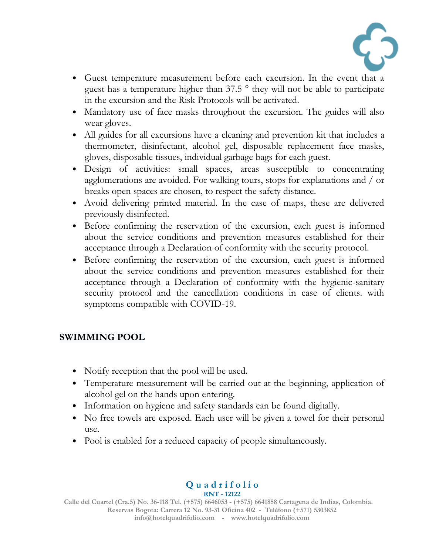

- Guest temperature measurement before each excursion. In the event that a guest has a temperature higher than 37.5 ° they will not be able to participate in the excursion and the Risk Protocols will be activated.
- Mandatory use of face masks throughout the excursion. The guides will also wear gloves.
- All guides for all excursions have a cleaning and prevention kit that includes a thermometer, disinfectant, alcohol gel, disposable replacement face masks, gloves, disposable tissues, individual garbage bags for each guest.
- Design of activities: small spaces, areas susceptible to concentrating agglomerations are avoided. For walking tours, stops for explanations and / or breaks open spaces are chosen, to respect the safety distance.
- Avoid delivering printed material. In the case of maps, these are delivered previously disinfected.
- Before confirming the reservation of the excursion, each guest is informed about the service conditions and prevention measures established for their acceptance through a Declaration of conformity with the security protocol.
- Before confirming the reservation of the excursion, each guest is informed about the service conditions and prevention measures established for their acceptance through a Declaration of conformity with the hygienic-sanitary security protocol and the cancellation conditions in case of clients. with symptoms compatible with COVID-19.

## **SWIMMING POOL**

- Notify reception that the pool will be used.
- Temperature measurement will be carried out at the beginning, application of alcohol gel on the hands upon entering.
- Information on hygiene and safety standards can be found digitally.
- No free towels are exposed. Each user will be given a towel for their personal use.
- Pool is enabled for a reduced capacity of people simultaneously.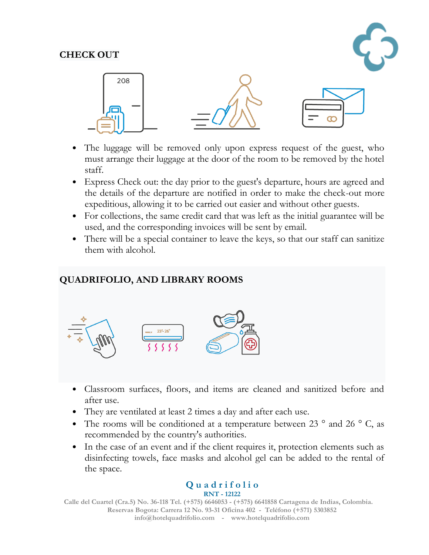#### **CHECK OUT**





- The luggage will be removed only upon express request of the guest, who must arrange their luggage at the door of the room to be removed by the hotel staff.
- Express Check out: the day prior to the guest's departure, hours are agreed and the details of the departure are notified in order to make the check-out more expeditious, allowing it to be carried out easier and without other guests.
- For collections, the same credit card that was left as the initial guarantee will be used, and the corresponding invoices will be sent by email.
- There will be a special container to leave the keys, so that our staff can sanitize them with alcohol.

## **QUADRIFOLIO, AND LIBRARY ROOMS**



- Classroom surfaces, floors, and items are cleaned and sanitized before and after use.
- They are ventilated at least 2 times a day and after each use.
- The rooms will be conditioned at a temperature between 23 $\degree$  and 26 $\degree$  C, as recommended by the country's authorities.
- In the case of an event and if the client requires it, protection elements such as disinfecting towels, face masks and alcohol gel can be added to the rental of the space.

#### **Q u a d r i f o l i o RNT - 12122**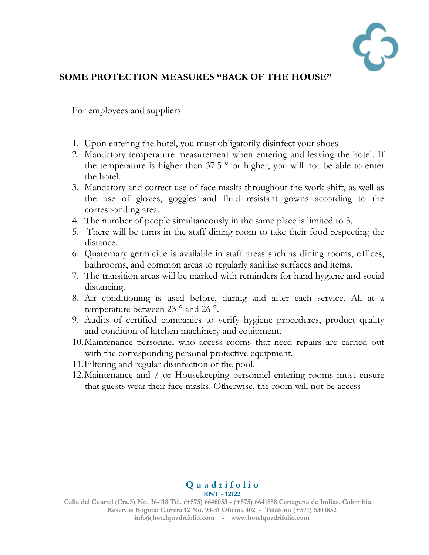

#### **SOME PROTECTION MEASURES "BACK OF THE HOUSE"**

For employees and suppliers

- 1. Upon entering the hotel, you must obligatorily disinfect your shoes
- 2. Mandatory temperature measurement when entering and leaving the hotel. If the temperature is higher than 37.5 ° or higher, you will not be able to enter the hotel.
- 3. Mandatory and correct use of face masks throughout the work shift, as well as the use of gloves, goggles and fluid resistant gowns according to the corresponding area.
- 4. The number of people simultaneously in the same place is limited to 3.
- 5. There will be turns in the staff dining room to take their food respecting the distance.
- 6. Quaternary germicide is available in staff areas such as dining rooms, offices, bathrooms, and common areas to regularly sanitize surfaces and items.
- 7. The transition areas will be marked with reminders for hand hygiene and social distancing.
- 8. Air conditioning is used before, during and after each service. All at a temperature between 23 ° and 26 °.
- 9. Audits of certified companies to verify hygiene procedures, product quality and condition of kitchen machinery and equipment.
- 10.Maintenance personnel who access rooms that need repairs are carried out with the corresponding personal protective equipment.
- 11.Filtering and regular disinfection of the pool.
- 12.Maintenance and / or Housekeeping personnel entering rooms must ensure that guests wear their face masks. Otherwise, the room will not be access